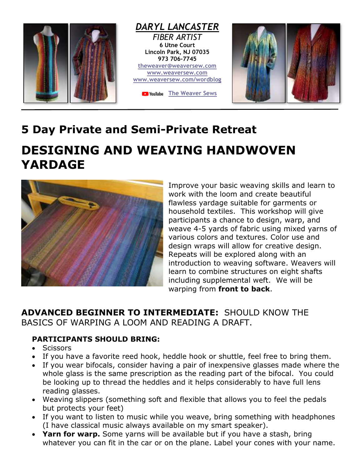

## **5 Day Private and Semi-Private Retreat**

## **DESIGNING AND WEAVING HANDWOVEN YARDAGE**



Improve your basic weaving skills and learn to work with the loom and create beautiful flawless yardage suitable for garments or household textiles. This workshop will give participants a chance to design, warp, and weave 4-5 yards of fabric using mixed yarns of various colors and textures. Color use and design wraps will allow for creative design. Repeats will be explored along with an introduction to weaving software. Weavers will learn to combine structures on eight shafts including supplemental weft. We will be warping from **front to back**.

## **ADVANCED BEGINNER TO INTERMEDIATE:** SHOULD KNOW THE BASICS OF WARPING A LOOM AND READING A DRAFT.

## **PARTICIPANTS SHOULD BRING:**

- Scissors
- If you have a favorite reed hook, heddle hook or shuttle, feel free to bring them.
- If you wear bifocals, consider having a pair of inexpensive glasses made where the whole glass is the same prescription as the reading part of the bifocal. You could be looking up to thread the heddles and it helps considerably to have full lens reading glasses.
- Weaving slippers (something soft and flexible that allows you to feel the pedals but protects your feet)
- If you want to listen to music while you weave, bring something with headphones (I have classical music always available on my smart speaker).
- **Yarn for warp.** Some yarns will be available but if you have a stash, bring whatever you can fit in the car or on the plane. Label your cones with your name.